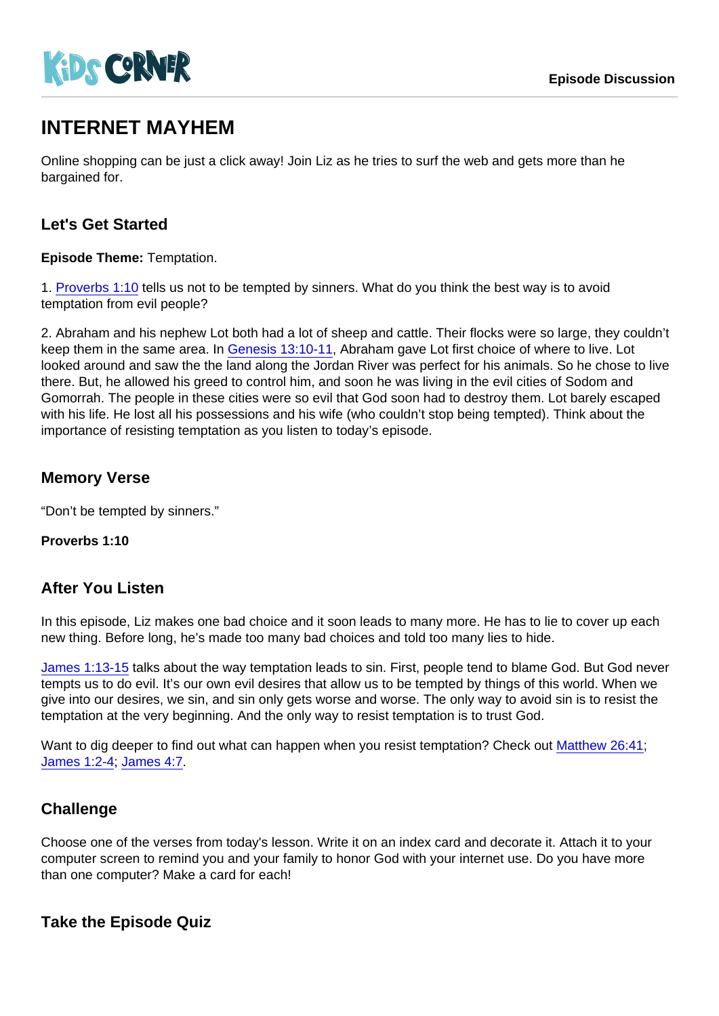# INTERNET MAYHEM

Online shopping can be just a click away! Join Liz as he tries to surf the web and gets more than he bargained for.

## Let's Get Started

Episode Theme: Temptation.

1. [Proverbs 1:10](https://www.biblegateway.com/passage/?search=Proverbs+1:10) tells us not to be tempted by sinners. What do you think the best way is to avoid temptation from evil people?

2. Abraham and his nephew Lot both had a lot of sheep and cattle. Their flocks were so large, they couldn't keep them in the same area. In [Genesis 13:10-11,](https://www.biblegateway.com/passage/?search=Genesis+13:10-11) Abraham gave Lot first choice of where to live. Lot looked around and saw the the land along the Jordan River was perfect for his animals. So he chose to live there. But, he allowed his greed to control him, and soon he was living in the evil cities of Sodom and Gomorrah. The people in these cities were so evil that God soon had to destroy them. Lot barely escaped with his life. He lost all his possessions and his wife (who couldn't stop being tempted). Think about the importance of resisting temptation as you listen to today's episode.

## Memory Verse

"Don't be tempted by sinners."

Proverbs 1:10

### After You Listen

In this episode, Liz makes one bad choice and it soon leads to many more. He has to lie to cover up each new thing. Before long, he's made too many bad choices and told too many lies to hide.

[James 1:13-15](https://www.biblegateway.com/passage/?search=James+1:13-15) talks about the way temptation leads to sin. First, people tend to blame God. But God never tempts us to do evil. It's our own evil desires that allow us to be tempted by things of this world. When we give into our desires, we sin, and sin only gets worse and worse. The only way to avoid sin is to resist the temptation at the very beginning. And the only way to resist temptation is to trust God.

Want to dig deeper to find out what can happen when you resist temptation? Check out [Matthew 26:41;](https://www.biblegateway.com/passage/?search=Matthew+26:41) [James 1:2-4;](https://www.biblegateway.com/passage/?search=James+1:2-4) [James 4:7](https://www.biblegateway.com/passage/?search=James+4:7).

## **Challenge**

Choose one of the verses from today's lesson. Write it on an index card and decorate it. Attach it to your computer screen to remind you and your family to honor God with your internet use. Do you have more than one computer? Make a card for each!

Take the Episode Quiz